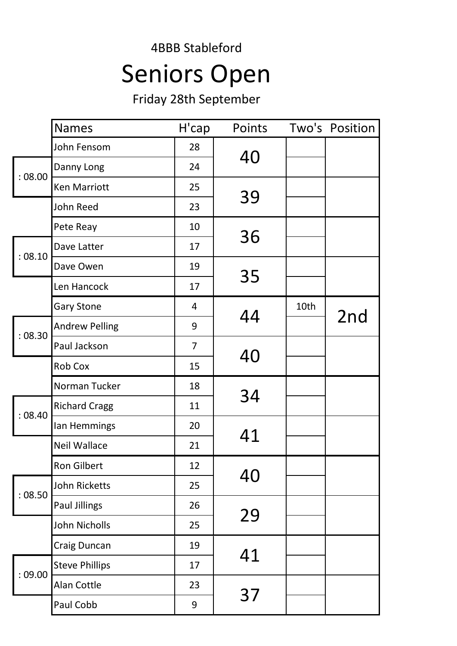## 4BBB Stableford Seniors Open

Friday 28th September

|         | <b>Names</b>          | H'cap          | Points |      | Two's Position |
|---------|-----------------------|----------------|--------|------|----------------|
|         | John Fensom           | 28             | 40     |      |                |
| :08.00  | Danny Long            | 24             |        |      |                |
|         | <b>Ken Marriott</b>   | 25             |        |      |                |
|         | John Reed             | 23             | 39     |      |                |
|         | Pete Reay             | 10             |        |      |                |
| : 08.10 | Dave Latter           | 17             | 36     |      |                |
|         | Dave Owen             | 19             |        |      |                |
|         | Len Hancock           | 17             | 35     |      |                |
|         | <b>Gary Stone</b>     | 4              | 44     | 10th |                |
| :08.30  | <b>Andrew Pelling</b> | 9              |        |      | 2nd            |
|         | Paul Jackson          | $\overline{7}$ |        |      |                |
|         | <b>Rob Cox</b>        | 15             | 40     |      |                |
|         | Norman Tucker         | 18             | 34     |      |                |
| : 08.40 | <b>Richard Cragg</b>  | 11             |        |      |                |
|         | lan Hemmings          | 20             | 41     |      |                |
|         | <b>Neil Wallace</b>   | 21             |        |      |                |
|         | Ron Gilbert           | 12             |        |      |                |
|         | John Ricketts         | 25             | 40     |      |                |
| :08.50  | <b>Paul Jillings</b>  | 26             | 29     |      |                |
|         | John Nicholls         | 25             |        |      |                |
|         | Craig Duncan          | 19             | 41     |      |                |
|         | <b>Steve Phillips</b> | 17             |        |      |                |
| :09.00  | Alan Cottle           | 23             | 37     |      |                |
|         | Paul Cobb             | 9              |        |      |                |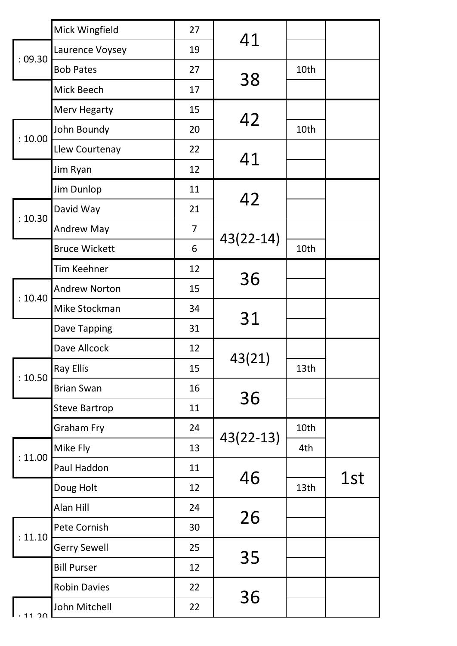|         | Mick Wingfield       | 27             |             |      |     |
|---------|----------------------|----------------|-------------|------|-----|
| :09.30  | Laurence Voysey      | 19             | 41          |      |     |
|         | <b>Bob Pates</b>     | 27             | 38          | 10th |     |
|         | Mick Beech           | 17             |             |      |     |
|         | Merv Hegarty         | 15             |             |      |     |
| : 10.00 | John Boundy          | 20             | 42          | 10th |     |
|         | Llew Courtenay       | 22             |             |      |     |
|         | Jim Ryan             | 12             | 41          |      |     |
|         | Jim Dunlop           | 11             |             |      |     |
| : 10.30 | David Way            | 21             | 42          |      |     |
|         | <b>Andrew May</b>    | $\overline{7}$ |             |      |     |
|         | <b>Bruce Wickett</b> | 6              | $43(22-14)$ | 10th |     |
|         | Tim Keehner          | 12             | 36          |      |     |
| : 10.40 | <b>Andrew Norton</b> | 15             | 31          |      |     |
|         | Mike Stockman        | 34             |             |      |     |
|         | Dave Tapping         | 31             |             |      |     |
|         | Dave Allcock         | 12             |             |      |     |
| : 10.50 | <b>Ray Ellis</b>     | 15             | 43(21)      | 13th |     |
|         | <b>Brian Swan</b>    | 16             |             |      |     |
|         | <b>Steve Bartrop</b> | 11             | 36          |      |     |
|         | <b>Graham Fry</b>    | 24             | $43(22-13)$ | 10th |     |
| : 11.00 | Mike Fly             | 13             |             | 4th  |     |
|         | Paul Haddon          | 11             | 46          |      | 1st |
|         | Doug Holt            | 12             |             | 13th |     |
|         | Alan Hill            | 24             | 26          |      |     |
| : 11.10 | Pete Cornish         | 30             |             |      |     |
|         | <b>Gerry Sewell</b>  | 25             |             |      |     |
|         | <b>Bill Purser</b>   | 12             | 35          |      |     |
|         | <b>Robin Davies</b>  | 22             |             |      |     |
| 1.20    | John Mitchell        | 22             | 36          |      |     |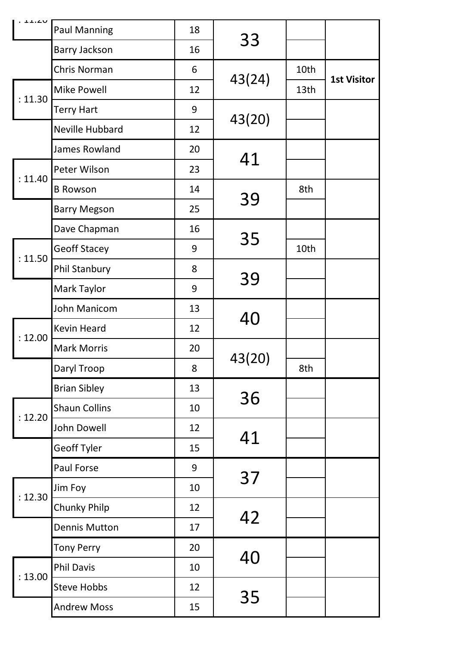| . 11.LV |                      |    |        |      |                    |
|---------|----------------------|----|--------|------|--------------------|
|         | <b>Paul Manning</b>  | 18 | 33     |      |                    |
|         | <b>Barry Jackson</b> | 16 |        |      |                    |
|         | Chris Norman         | 6  | 43(24) | 10th | <b>1st Visitor</b> |
| : 11.30 | <b>Mike Powell</b>   | 12 |        | 13th |                    |
|         | <b>Terry Hart</b>    | 9  |        |      |                    |
|         | Neville Hubbard      | 12 | 43(20) |      |                    |
|         | James Rowland        | 20 |        |      |                    |
| : 11.40 | Peter Wilson         | 23 | 41     |      |                    |
|         | <b>B</b> Rowson      | 14 |        | 8th  |                    |
|         | <b>Barry Megson</b>  | 25 | 39     |      |                    |
|         | Dave Chapman         | 16 |        |      |                    |
|         | <b>Geoff Stacey</b>  | 9  | 35     | 10th |                    |
| : 11.50 | <b>Phil Stanbury</b> | 8  |        |      |                    |
|         | Mark Taylor          | 9  | 39     |      |                    |
|         | John Manicom         | 13 |        |      |                    |
| : 12.00 | <b>Kevin Heard</b>   | 12 | 40     |      |                    |
|         | <b>Mark Morris</b>   | 20 |        |      |                    |
|         | Daryl Troop          | 8  | 43(20) | 8th  |                    |
|         | <b>Brian Sibley</b>  | 13 |        |      |                    |
| : 12.20 | <b>Shaun Collins</b> | 10 | 36     |      |                    |
|         | <b>John Dowell</b>   | 12 |        |      |                    |
|         | Geoff Tyler          | 15 | 41     |      |                    |
|         | Paul Forse           | 9  |        |      |                    |
|         | Jim Foy              | 10 | 37     |      |                    |
| : 12.30 | <b>Chunky Philp</b>  | 12 |        |      |                    |
|         | <b>Dennis Mutton</b> | 17 | 42     |      |                    |
|         | <b>Tony Perry</b>    | 20 |        |      |                    |
|         | <b>Phil Davis</b>    | 10 | 40     |      |                    |
| : 13.00 | <b>Steve Hobbs</b>   | 12 |        |      |                    |
|         | <b>Andrew Moss</b>   | 15 | 35     |      |                    |
|         |                      |    |        |      |                    |